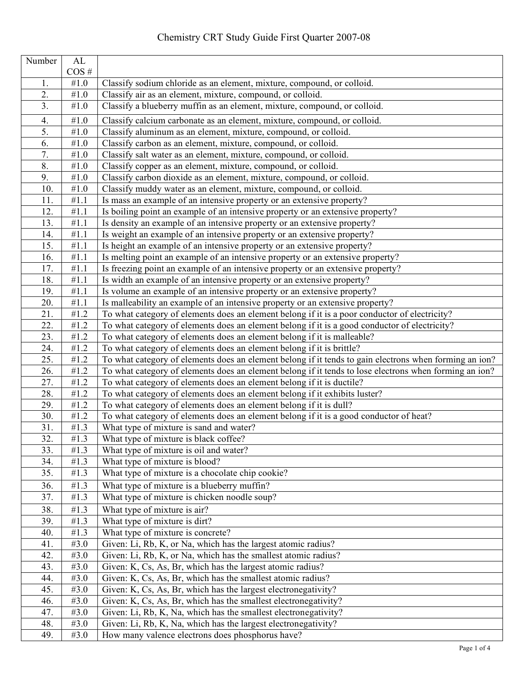| Number         | AL                |                                                                                                        |
|----------------|-------------------|--------------------------------------------------------------------------------------------------------|
|                | $\cos$ #          |                                                                                                        |
| 1.             | #1.0              | Classify sodium chloride as an element, mixture, compound, or colloid.                                 |
| 2.             | $\#1.0$           | Classify air as an element, mixture, compound, or colloid.                                             |
| 3 <sub>1</sub> | #1.0              | Classify a blueberry muffin as an element, mixture, compound, or colloid.                              |
| 4.             | #1.0              | Classify calcium carbonate as an element, mixture, compound, or colloid.                               |
| 5.             | #1.0              | Classify aluminum as an element, mixture, compound, or colloid.                                        |
| 6.             | $\#1.0$           | Classify carbon as an element, mixture, compound, or colloid.                                          |
| 7.             | $\#1.0$           | Classify salt water as an element, mixture, compound, or colloid.                                      |
| 8.             | #1.0              | Classify copper as an element, mixture, compound, or colloid.                                          |
| 9.             | $\#1.0$           | Classify carbon dioxide as an element, mixture, compound, or colloid.                                  |
| 10.            | $\#1.0$           | Classify muddy water as an element, mixture, compound, or colloid.                                     |
| 11.            | $\overline{41}.1$ | Is mass an example of an intensive property or an extensive property?                                  |
| 12.            | #1.1              | Is boiling point an example of an intensive property or an extensive property?                         |
| 13.            | #1.1              | Is density an example of an intensive property or an extensive property?                               |
| 14.            | #1.1              | Is weight an example of an intensive property or an extensive property?                                |
| 15.            | #1.1              | Is height an example of an intensive property or an extensive property?                                |
| 16.            | #1.1              | Is melting point an example of an intensive property or an extensive property?                         |
| 17.            | #1.1              | Is freezing point an example of an intensive property or an extensive property?                        |
| 18.            | #1.1              | Is width an example of an intensive property or an extensive property?                                 |
| 19.            | #1.1              | Is volume an example of an intensive property or an extensive property?                                |
| 20.            | #1.1              | Is malleability an example of an intensive property or an extensive property?                          |
| 21.            | $\overline{41}.2$ | To what category of elements does an element belong if it is a poor conductor of electricity?          |
| 22.            | #1.2              | To what category of elements does an element belong if it is a good conductor of electricity?          |
| 23.            | #1.2              | To what category of elements does an element belong if it is malleable?                                |
| 24.            | #1.2              | To what category of elements does an element belong if it is brittle?                                  |
| 25.            | #1.2              | To what category of elements does an element belong if it tends to gain electrons when forming an ion? |
| 26.            | #1.2              | To what category of elements does an element belong if it tends to lose electrons when forming an ion? |
| 27.            | #1.2              | To what category of elements does an element belong if it is ductile?                                  |
| 28.            | #1.2              | To what category of elements does an element belong if it exhibits luster?                             |
| 29.            | #1.2              | To what category of elements does an element belong if it is dull?                                     |
| 30.            | #1.2              | To what category of elements does an element belong if it is a good conductor of heat?                 |
| 31.            | #1.3              | What type of mixture is sand and water?                                                                |
| 32.            | #1.3              | What type of mixture is black coffee?                                                                  |
| 33.            | #1.3              | What type of mixture is oil and water?                                                                 |
| 34.            | #1.3              | What type of mixture is blood?                                                                         |
| 35.            | #1.3              | What type of mixture is a chocolate chip cookie?                                                       |
| 36.            | #1.3              | What type of mixture is a blueberry muffin?                                                            |
| 37.            | #1.3              | What type of mixture is chicken noodle soup?                                                           |
| 38.            | #1.3              | What type of mixture is air?                                                                           |
| 39.            | #1.3              | What type of mixture is dirt?                                                                          |
| 40.            | #1.3              | What type of mixture is concrete?                                                                      |
| 41.            | #3.0              | Given: Li, Rb, K, or Na, which has the largest atomic radius?                                          |
| 42.            | #3.0              | Given: Li, Rb, K, or Na, which has the smallest atomic radius?                                         |
| 43.            | #3.0              | Given: K, Cs, As, Br, which has the largest atomic radius?                                             |
| 44.            | #3.0              | Given: K, Cs, As, Br, which has the smallest atomic radius?                                            |
| 45.            | #3.0              | Given: K, Cs, As, Br, which has the largest electronegativity?                                         |
| 46.            | #3.0              | Given: K, Cs, As, Br, which has the smallest electronegativity?                                        |
| 47.            | #3.0              | Given: Li, Rb, K, Na, which has the smallest electronegativity?                                        |
| 48.            | #3.0              | Given: Li, Rb, K, Na, which has the largest electronegativity?                                         |
| 49.            | #3.0              | How many valence electrons does phosphorus have?                                                       |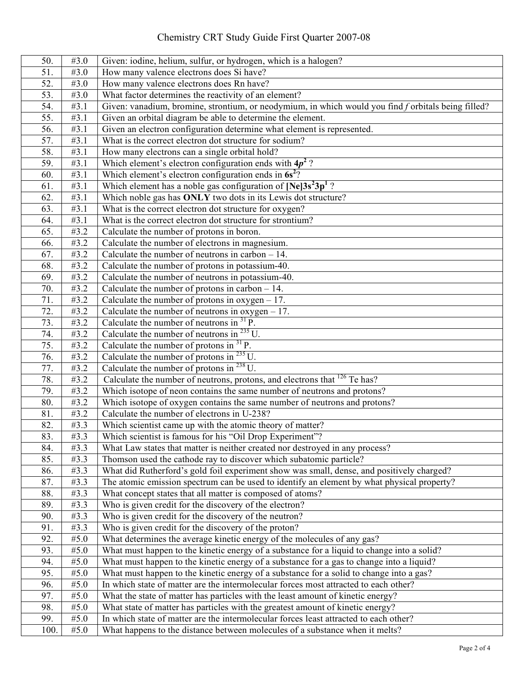## Chemistry CRT Study Guide First Quarter 2007-08

| 50.  | #3.0              | Given: iodine, helium, sulfur, or hydrogen, which is a halogen?                                     |
|------|-------------------|-----------------------------------------------------------------------------------------------------|
| 51.  | #3.0              | How many valence electrons does Si have?                                                            |
| 52.  | #3.0              | How many valence electrons does Rn have?                                                            |
| 53.  | #3.0              | What factor determines the reactivity of an element?                                                |
| 54.  | #3.1              | Given: vanadium, bromine, strontium, or neodymium, in which would you find f orbitals being filled? |
| 55.  | #3.1              | Given an orbital diagram be able to determine the element.                                          |
| 56.  | #3.1              | Given an electron configuration determine what element is represented.                              |
| 57.  | #3.1              | What is the correct electron dot structure for sodium?                                              |
| 58.  | #3.1              | How many electrons can a single orbital hold?                                                       |
| 59.  | #3.1              | Which element's electron configuration ends with $4p^2$ ?                                           |
| 60.  | #3.1              | Which element's electron configuration ends in $6s^2$ ?                                             |
| 61.  | #3.1              | Which element has a noble gas configuration of $[Ne]3s^23p^1$ ?                                     |
| 62.  | $\overline{43.1}$ | Which noble gas has ONLY two dots in its Lewis dot structure?                                       |
| 63.  | #3.1              | What is the correct electron dot structure for oxygen?                                              |
| 64.  | #3.1              | What is the correct electron dot structure for strontium?                                           |
| 65.  | $\overline{43.2}$ | Calculate the number of protons in boron.                                                           |
| 66.  | #3.2              | Calculate the number of electrons in magnesium.                                                     |
| 67.  | #3.2              | Calculate the number of neutrons in carbon $-14$ .                                                  |
| 68.  | #3.2              | Calculate the number of protons in potassium-40.                                                    |
| 69.  | #3.2              | Calculate the number of neutrons in potassium-40.                                                   |
| 70.  | #3.2              | Calculate the number of protons in carbon $-14$ .                                                   |
| 71.  | #3.2              | Calculate the number of protons in $oxygen - 17$ .                                                  |
| 72.  | $\overline{43.2}$ | Calculate the number of neutrons in $oxygen - 17$ .                                                 |
| 73.  | #3.2              | Calculate the number of neutrons in $^{31}$ P.                                                      |
| 74.  | #3.2              | Calculate the number of neutrons in $^{235}$ U.                                                     |
| 75.  | #3.2              | Calculate the number of protons in $^{31}$ P.                                                       |
| 76.  | #3.2              | Calculate the number of protons in $^{235}$ U.                                                      |
| 77.  | #3.2              | Calculate the number of protons in $^{238}$ U.                                                      |
| 78.  | #3.2              | Calculate the number of neutrons, protons, and electrons that <sup>126</sup> Te has?                |
| 79.  | #3.2              | Which isotope of neon contains the same number of neutrons and protons?                             |
| 80.  | #3.2              | Which isotope of oxygen contains the same number of neutrons and protons?                           |
| 81.  | #3.2              | Calculate the number of electrons in U-238?                                                         |
| 82.  | $\overline{43.3}$ | Which scientist came up with the atomic theory of matter?                                           |
| 83.  | #3.3              | Which scientist is famous for his "Oil Drop Experiment"?                                            |
| 84.  | #3.3              | What Law states that matter is neither created nor destroyed in any process?                        |
| 85.  | #3.3              | Thomson used the cathode ray to discover which subatomic particle?                                  |
| 86.  | #3.3              | What did Rutherford's gold foil experiment show was small, dense, and positively charged?           |
| 87.  | #3.3              | The atomic emission spectrum can be used to identify an element by what physical property?          |
| 88.  | #3.3              | What concept states that all matter is composed of atoms?                                           |
| 89.  | #3.3              | Who is given credit for the discovery of the electron?                                              |
| 90.  | #3.3              | Who is given credit for the discovery of the neutron?                                               |
| 91.  | #3.3              | Who is given credit for the discovery of the proton?                                                |
| 92.  | #5.0              | What determines the average kinetic energy of the molecules of any gas?                             |
| 93.  | #5.0              | What must happen to the kinetic energy of a substance for a liquid to change into a solid?          |
| 94.  | #5.0              | What must happen to the kinetic energy of a substance for a gas to change into a liquid?            |
| 95.  | #5.0              | What must happen to the kinetic energy of a substance for a solid to change into a gas?             |
| 96.  | #5.0              | In which state of matter are the intermolecular forces most attracted to each other?                |
| 97.  | #5.0              | What the state of matter has particles with the least amount of kinetic energy?                     |
| 98.  | #5.0              | What state of matter has particles with the greatest amount of kinetic energy?                      |
| 99.  | #5.0              | In which state of matter are the intermolecular forces least attracted to each other?               |
| 100. | #5.0              | What happens to the distance between molecules of a substance when it melts?                        |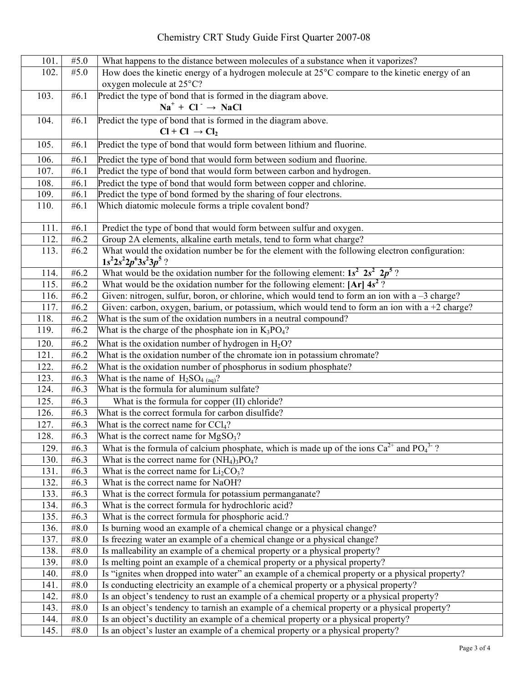## Chemistry CRT Study Guide First Quarter 2007-08

| 101.         | #5.0              | What happens to the distance between molecules of a substance when it vaporizes?                                                                                    |
|--------------|-------------------|---------------------------------------------------------------------------------------------------------------------------------------------------------------------|
| 102.         | #5.0              | How does the kinetic energy of a hydrogen molecule at 25°C compare to the kinetic energy of an                                                                      |
|              |                   | oxygen molecule at 25°C?                                                                                                                                            |
| 103.         | #6.1              | Predict the type of bond that is formed in the diagram above.                                                                                                       |
|              |                   | $Na+ + Cl- \rightarrow NaCl$                                                                                                                                        |
| 104.         | #6.1              | Predict the type of bond that is formed in the diagram above.                                                                                                       |
|              |                   | $Cl + Cl \rightarrow Cl_2$                                                                                                                                          |
| 105.         | #6.1              | Predict the type of bond that would form between lithium and fluorine.                                                                                              |
| 106.         | #6.1              | Predict the type of bond that would form between sodium and fluorine.                                                                                               |
| 107.         | #6.1              | Predict the type of bond that would form between carbon and hydrogen.                                                                                               |
| 108.         | #6.1              | Predict the type of bond that would form between copper and chlorine.                                                                                               |
| 109.         | #6.1              | Predict the type of bond formed by the sharing of four electrons.                                                                                                   |
| 110.         | #6.1              | Which diatomic molecule forms a triple covalent bond?                                                                                                               |
|              |                   |                                                                                                                                                                     |
| 111.         | #6.1              | Predict the type of bond that would form between sulfur and oxygen.                                                                                                 |
| 112.         | #6.2              | Group 2A elements, alkaline earth metals, tend to form what charge?                                                                                                 |
| 113.         | #6.2              | What would the oxidation number be for the element with the following electron configuration:                                                                       |
|              |                   | $1s^22s^22p^63s^23p^5$ ?                                                                                                                                            |
| 114.         | #6.2              | What would be the oxidation number for the following element: $1s^2$ $2s^2$ $2p^5$ ?                                                                                |
| 115.         | #6.2              | What would be the oxidation number for the following element: $[Ar] 4s^2$ ?                                                                                         |
| 116.         | #6.2              | Given: nitrogen, sulfur, boron, or chlorine, which would tend to form an ion with $a - 3$ charge?                                                                   |
| 117.<br>118. | #6.2<br>#6.2      | Given: carbon, oxygen, barium, or potassium, which would tend to form an ion with a $+2$ charge?<br>What is the sum of the oxidation numbers in a neutral compound? |
| 119.         | #6.2              | What is the charge of the phosphate ion in $K_3PO_4$ ?                                                                                                              |
|              |                   |                                                                                                                                                                     |
| 120.         | #6.2              | What is the oxidation number of hydrogen in $H_2O$ ?                                                                                                                |
| 121.         | #6.2<br>#6.2      | What is the oxidation number of the chromate ion in potassium chromate?                                                                                             |
| 122.<br>123. | #6.3              | What is the oxidation number of phosphorus in sodium phosphate?<br>What is the name of $H_2SO_{4(aq)}$ ?                                                            |
| 124.         | # $6.3$           | What is the formula for aluminum sulfate?                                                                                                                           |
| 125.         | # $6.3$           | What is the formula for copper (II) chloride?                                                                                                                       |
| 126.         | #6.3              | What is the correct formula for carbon disulfide?                                                                                                                   |
| 127.         | # $6.3$           | What is the correct name for CCl <sub>4</sub> ?                                                                                                                     |
| 128.         | #6.3              | What is the correct name for $MgSO3$ ?                                                                                                                              |
| 129.         | #6.3              | What is the formula of calcium phosphate, which is made up of the ions $Ca^{2+}$ and PO <sub>4</sub> <sup>3-</sup> ?                                                |
| 130.         | #6.3              | What is the correct name for $(NH_4)$ <sub>3</sub> PO <sub>4</sub> ?                                                                                                |
| 131.         | #6.3              | What is the correct name for $Li2CO3$ ?                                                                                                                             |
| 132.         | #6.3              | What is the correct name for NaOH?                                                                                                                                  |
| 133.         | #6.3              | What is the correct formula for potassium permanganate?                                                                                                             |
| 134.         | #6.3              | What is the correct formula for hydrochloric acid?                                                                                                                  |
| 135.         | #6.3              | What is the correct formula for phosphoric acid.?                                                                                                                   |
| 136.         | #8.0              | Is burning wood an example of a chemical change or a physical change?                                                                                               |
| 137.         | #8.0              | Is freezing water an example of a chemical change or a physical change?                                                                                             |
| 138.         | #8.0              | Is malleability an example of a chemical property or a physical property?                                                                                           |
| 139.         | $\overline{48.0}$ | Is melting point an example of a chemical property or a physical property?                                                                                          |
| 140.         | #8.0              | Is "ignites when dropped into water" an example of a chemical property or a physical property?                                                                      |
| 141.         | #8.0              | Is conducting electricity an example of a chemical property or a physical property?                                                                                 |
| 142.         | #8.0              | Is an object's tendency to rust an example of a chemical property or a physical property?                                                                           |
| 143.         | #8.0              | Is an object's tendency to tarnish an example of a chemical property or a physical property?                                                                        |
| 144.         | #8.0              | Is an object's ductility an example of a chemical property or a physical property?                                                                                  |
| 145.         | #8.0              | Is an object's luster an example of a chemical property or a physical property?                                                                                     |